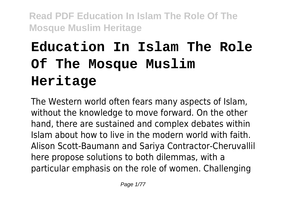# **Education In Islam The Role Of The Mosque Muslim Heritage**

The Western world often fears many aspects of Islam, without the knowledge to move forward. On the other hand, there are sustained and complex debates within Islam about how to live in the modern world with faith. Alison Scott-Baumann and Sariya Contractor-Cheruvallil here propose solutions to both dilemmas, with a particular emphasis on the role of women. Challenging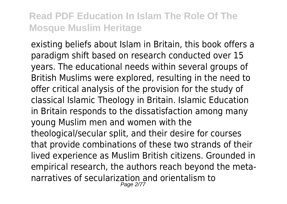existing beliefs about Islam in Britain, this book offers a paradigm shift based on research conducted over 15 years. The educational needs within several groups of British Muslims were explored, resulting in the need to offer critical analysis of the provision for the study of classical Islamic Theology in Britain. Islamic Education in Britain responds to the dissatisfaction among many young Muslim men and women with the theological/secular split, and their desire for courses that provide combinations of these two strands of their lived experience as Muslim British citizens. Grounded in empirical research, the authors reach beyond the metanarratives of secularization and orientalism to Page 2/77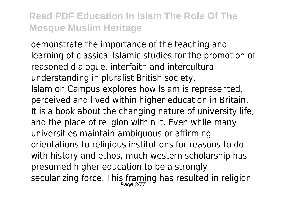demonstrate the importance of the teaching and learning of classical Islamic studies for the promotion of reasoned dialogue, interfaith and intercultural understanding in pluralist British society. Islam on Campus explores how Islam is represented, perceived and lived within higher education in Britain. It is a book about the changing nature of university life, and the place of religion within it. Even while many universities maintain ambiguous or affirming orientations to religious institutions for reasons to do with history and ethos, much western scholarship has presumed higher education to be a strongly secularizing force. This framing has resulted in religion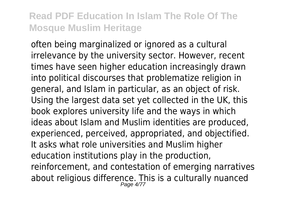often being marginalized or ignored as a cultural irrelevance by the university sector. However, recent times have seen higher education increasingly drawn into political discourses that problematize religion in general, and Islam in particular, as an object of risk. Using the largest data set yet collected in the UK, this book explores university life and the ways in which ideas about Islam and Muslim identities are produced, experienced, perceived, appropriated, and objectified. It asks what role universities and Muslim higher education institutions play in the production, reinforcement, and contestation of emerging narratives about religious difference. This is a culturally nuanced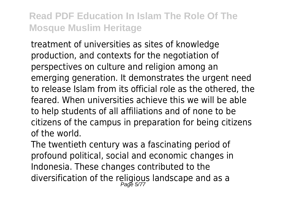treatment of universities as sites of knowledge production, and contexts for the negotiation of perspectives on culture and religion among an emerging generation. It demonstrates the urgent need to release Islam from its official role as the othered, the feared. When universities achieve this we will be able to help students of all affiliations and of none to be citizens of the campus in preparation for being citizens of the world.

The twentieth century was a fascinating period of profound political, social and economic changes in Indonesia. These changes contributed to the diversification of the religious landscape and as a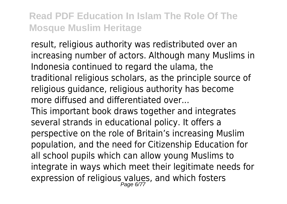result, religious authority was redistributed over an increasing number of actors. Although many Muslims in Indonesia continued to regard the ulama, the traditional religious scholars, as the principle source of religious guidance, religious authority has become more diffused and differentiated over...

This important book draws together and integrates several strands in educational policy. It offers a perspective on the role of Britain's increasing Muslim population, and the need for Citizenship Education for all school pupils which can allow young Muslims to integrate in ways which meet their legitimate needs for expression of religious values, and which fosters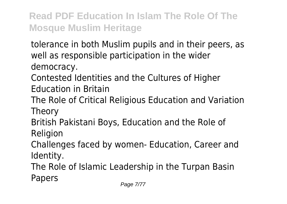tolerance in both Muslim pupils and in their peers, as well as responsible participation in the wider

democracy.

Contested Identities and the Cultures of Higher Education in Britain

The Role of Critical Religious Education and Variation Theory

British Pakistani Boys, Education and the Role of

Religion

Challenges faced by women- Education, Career and Identity.

The Role of Islamic Leadership in the Turpan Basin Papers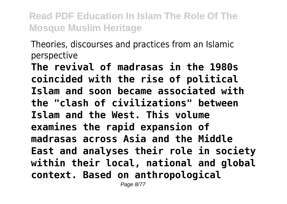Theories, discourses and practices from an Islamic perspective

**The revival of madrasas in the 1980s coincided with the rise of political Islam and soon became associated with the "clash of civilizations" between Islam and the West. This volume examines the rapid expansion of madrasas across Asia and the Middle East and analyses their role in society within their local, national and global context. Based on anthropological**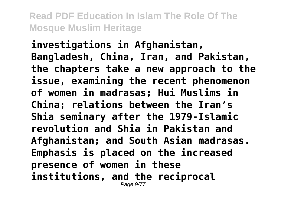**investigations in Afghanistan, Bangladesh, China, Iran, and Pakistan, the chapters take a new approach to the issue, examining the recent phenomenon of women in madrasas; Hui Muslims in China; relations between the Iran's Shia seminary after the 1979-Islamic revolution and Shia in Pakistan and Afghanistan; and South Asian madrasas. Emphasis is placed on the increased presence of women in these institutions, and the reciprocal** Page 9/77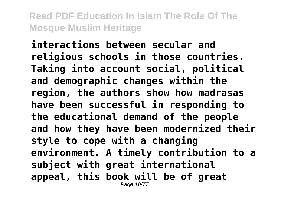**interactions between secular and religious schools in those countries. Taking into account social, political and demographic changes within the region, the authors show how madrasas have been successful in responding to the educational demand of the people and how they have been modernized their style to cope with a changing environment. A timely contribution to a subject with great international appeal, this book will be of great** Page 10/7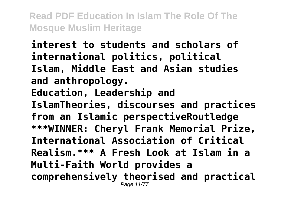**interest to students and scholars of international politics, political Islam, Middle East and Asian studies and anthropology. Education, Leadership and IslamTheories, discourses and practices from an Islamic perspectiveRoutledge \*\*\*WINNER: Cheryl Frank Memorial Prize, International Association of Critical Realism.\*\*\* A Fresh Look at Islam in a Multi-Faith World provides a comprehensively theorised and practical** Page 11/77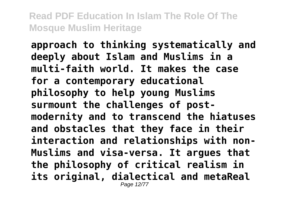**approach to thinking systematically and deeply about Islam and Muslims in a multi-faith world. It makes the case for a contemporary educational philosophy to help young Muslims surmount the challenges of postmodernity and to transcend the hiatuses and obstacles that they face in their interaction and relationships with non-Muslims and visa-versa. It argues that the philosophy of critical realism in its original, dialectical and metaReal** Page 12/77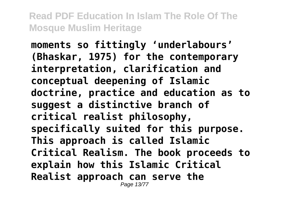**moments so fittingly 'underlabours' (Bhaskar, 1975) for the contemporary interpretation, clarification and conceptual deepening of Islamic doctrine, practice and education as to suggest a distinctive branch of critical realist philosophy, specifically suited for this purpose. This approach is called Islamic Critical Realism. The book proceeds to explain how this Islamic Critical Realist approach can serve the** Page 13/77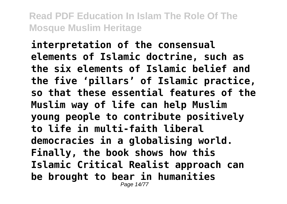**interpretation of the consensual elements of Islamic doctrine, such as the six elements of Islamic belief and the five 'pillars' of Islamic practice, so that these essential features of the Muslim way of life can help Muslim young people to contribute positively to life in multi-faith liberal democracies in a globalising world. Finally, the book shows how this Islamic Critical Realist approach can be brought to bear in humanities** Page 14/77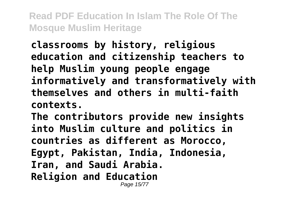**classrooms by history, religious education and citizenship teachers to help Muslim young people engage informatively and transformatively with themselves and others in multi-faith contexts.**

**The contributors provide new insights into Muslim culture and politics in countries as different as Morocco, Egypt, Pakistan, India, Indonesia, Iran, and Saudi Arabia. Religion and Education** Page 15/77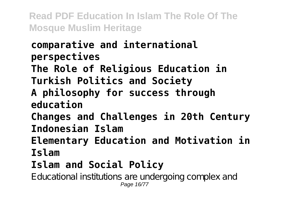# **comparative and international perspectives**

**The Role of Religious Education in Turkish Politics and Society**

#### **A philosophy for success through education**

**Changes and Challenges in 20th Century Indonesian Islam**

**Elementary Education and Motivation in Islam**

# **Islam and Social Policy**

Educational institutions are undergoing complex and Page 16/77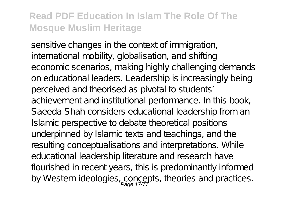sensitive changes in the context of immigration, international mobility, globalisation, and shifting economic scenarios, making highly challenging demands on educational leaders. Leadership is increasingly being perceived and theorised as pivotal to students' achievement and institutional performance. In this book, Saeeda Shah considers educational leadership from an Islamic perspective to debate theoretical positions underpinned by Islamic texts and teachings, and the resulting conceptualisations and interpretations. While educational leadership literature and research have flourished in recent years, this is predominantly informed by Western ideologies, concepts, theories and practices.<br>Page 17/77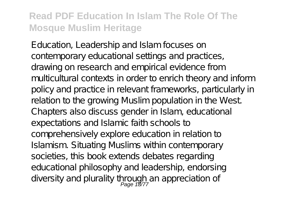Education, Leadership and Islam focuses on contemporary educational settings and practices, drawing on research and empirical evidence from multicultural contexts in order to enrich theory and inform policy and practice in relevant frameworks, particularly in relation to the growing Muslim population in the West. Chapters also discuss gender in Islam, educational expectations and Islamic faith schools to comprehensively explore education in relation to Islamism. Situating Muslims within contemporary societies, this book extends debates regarding educational philosophy and leadership, endorsing diversity and plurality through an appreciation of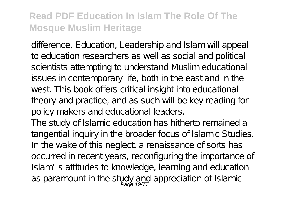difference. Education, Leadership and Islam will appeal to education researchers as well as social and political scientists attempting to understand Muslim educational issues in contemporary life, both in the east and in the west. This book offers critical insight into educational theory and practice, and as such will be key reading for policy makers and educational leaders.

The study of Islamic education has hitherto remained a tangential inquiry in the broader focus of Islamic Studies. In the wake of this neglect, a renaissance of sorts has occurred in recent years, reconfiguring the importance of Islam's attitudes to knowledge, learning and education as paramount in the study and appreciation of Islamic<br>Page 19/77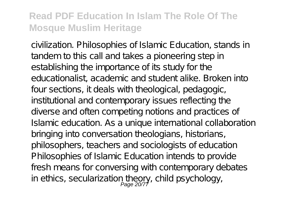civilization. Philosophies of Islamic Education, stands in tandem to this call and takes a pioneering step in establishing the importance of its study for the educationalist, academic and student alike. Broken into four sections, it deals with theological, pedagogic, institutional and contemporary issues reflecting the diverse and often competing notions and practices of Islamic education. As a unique international collaboration bringing into conversation theologians, historians, philosophers, teachers and sociologists of education Philosophies of Islamic Education intends to provide fresh means for conversing with contemporary debates in ethics, secularization theory, child psychology,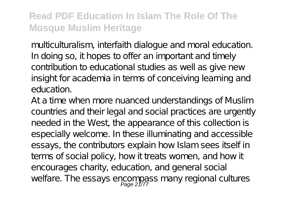multiculturalism, interfaith dialogue and moral education. In doing so, it hopes to offer an important and timely contribution to educational studies as well as give new insight for academia in terms of conceiving learning and education.

At a time when more nuanced understandings of Muslim countries and their legal and social practices are urgently needed in the West, the appearance of this collection is especially welcome. In these illuminating and accessible essays, the contributors explain how Islam sees itself in terms of social policy, how it treats women, and how it encourages charity, education, and general social welfare. The essays encompass many regional cultures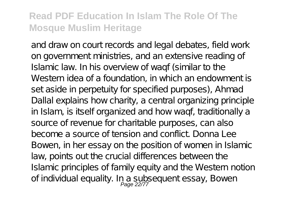and draw on court records and legal debates, field work on government ministries, and an extensive reading of Islamic law. In his overview of waqf (similar to the Western idea of a foundation, in which an endowment is set aside in perpetuity for specified purposes), Ahmad Dallal explains how charity, a central organizing principle in Islam, is itself organized and how waqf, traditionally a source of revenue for charitable purposes, can also become a source of tension and conflict. Donna Lee Bowen, in her essay on the position of women in Islamic law, points out the crucial differences between the Islamic principles of family equity and the Western notion of individual equality. In a subsequent essay, Bowen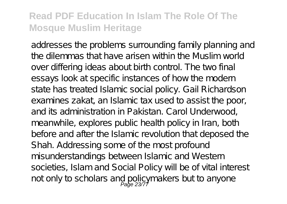addresses the problems surrounding family planning and the dilemmas that have arisen within the Muslim world over differing ideas about birth control. The two final essays look at specific instances of how the modern state has treated Islamic social policy. Gail Richardson examines zakat, an Islamic tax used to assist the poor, and its administration in Pakistan. Carol Underwood, meanwhile, explores public health policy in Iran, both before and after the Islamic revolution that deposed the Shah. Addressing some of the most profound misunderstandings between Islamic and Western societies, Islam and Social Policy will be of vital interest not only to scholars and policymakers but to anyone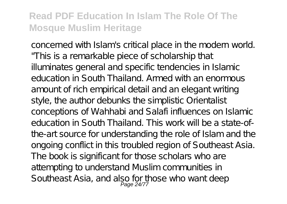concerned with Islam's critical place in the modern world. "This is a remarkable piece of scholarship that illuminates general and specific tendencies in Islamic education in South Thailand. Armed with an enormous amount of rich empirical detail and an elegant writing style, the author debunks the simplistic Orientalist conceptions of Wahhabi and Salafi influences on Islamic education in South Thailand. This work will be a state-ofthe-art source for understanding the role of Islam and the ongoing conflict in this troubled region of Southeast Asia. The book is significant for those scholars who are attempting to understand Muslim communities in Southeast Asia, and also for those who want deep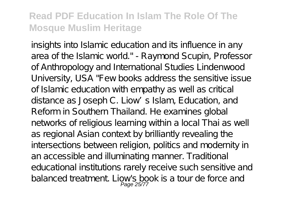insights into Islamic education and its influence in any area of the Islamic world." - Raymond Scupin, Professor of Anthropology and International Studies Lindenwood University, USA "Few books address the sensitive issue of Islamic education with empathy as well as critical distance as Joseph C. Liow's Islam, Education, and Reform in Southern Thailand. He examines global networks of religious learning within a local Thai as well as regional Asian context by brilliantly revealing the intersections between religion, politics and modernity in an accessible and illuminating manner. Traditional educational institutions rarely receive such sensitive and balanced treatment. Liow's book is a tour de force and Page 25/7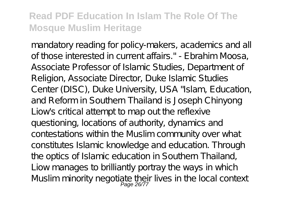mandatory reading for policy-makers, academics and all of those interested in current affairs." - Ebrahim Moosa, Associate Professor of Islamic Studies, Department of Religion, Associate Director, Duke Islamic Studies Center (DISC), Duke University, USA "Islam, Education, and Reform in Southern Thailand is Joseph Chinyong Liow's critical attempt to map out the reflexive questioning, locations of authority, dynamics and contestations within the Muslim community over what constitutes Islamic knowledge and education. Through the optics of Islamic education in Southern Thailand, Liow manages to brilliantly portray the ways in which Muslim minority negotiate their lives in the local context<br>Page 26/77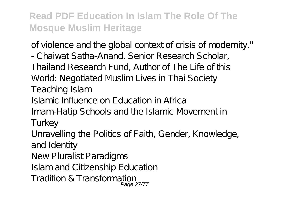of violence and the global context of crisis of modernity."

- Chaiwat Satha-Anand, Senior Research Scholar, Thailand Research Fund, Author of The Life of this World: Negotiated Muslim Lives in Thai Society Teaching Islam

Islamic Influence on Education in Africa

Imam-Hatip Schools and the Islamic Movement in

Turkey

Unravelling the Politics of Faith, Gender, Knowledge, and Identity

New Pluralist Paradigms

Islam and Citizenship Education

Tradition & Transformation Page 27/77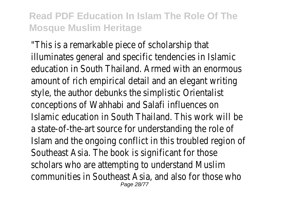"This is a remarkable piece of scholarship that illuminates general and specific tendencies in Islamic education in South Thailand. Armed with an enormous amount of rich empirical detail and an elegant writing style, the author debunks the simplistic Orientalist conceptions of Wahhabi and Salafi influences on Islamic education in South Thailand. This work will be a state-of-the-art source for understanding the role of Islam and the ongoing conflict in this troubled region of Southeast Asia. The book is significant for those scholars who are attempting to understand Muslim communities in Southeast Asia, and also for those who Page 28/77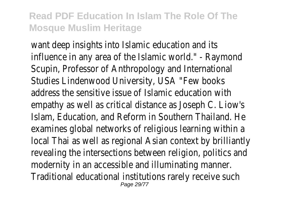want deep insights into Islamic education and its influence in any area of the Islamic world." - Raymond Scupin, Professor of Anthropology and International Studies Lindenwood University, USA "Few books address the sensitive issue of Islamic education with empathy as well as critical distance as Joseph C. Liow's Islam, Education, and Reform in Southern Thailand. He examines global networks of religious learning within a local Thai as well as regional Asian context by brilliantly revealing the intersections between religion, politics and modernity in an accessible and illuminating manner. Traditional educational institutions rarely receive such Page 29/77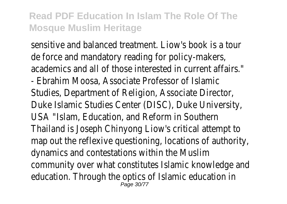sensitive and balanced treatment. Liow's book is a tour de force and mandatory reading for policy-makers, academics and all of those interested in current affairs." - Ebrahim Moosa, Associate Professor of Islamic Studies, Department of Religion, Associate Director, Duke Islamic Studies Center (DISC), Duke University, USA "Islam, Education, and Reform in Southern Thailand is Joseph Chinyong Liow's critical attempt to map out the reflexive questioning, locations of authority, dynamics and contestations within the Muslim community over what constitutes Islamic knowledge and education. Through the optics of Islamic education in Page 30/77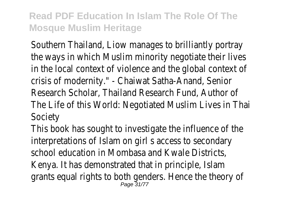Southern Thailand, Liow manages to brilliantly portray the ways in which Muslim minority negotiate their lives in the local context of violence and the global context of crisis of modernity." - Chaiwat Satha-Anand, Senior Research Scholar, Thailand Research Fund, Author of The Life of this World: Negotiated Muslim Lives in Thai Society

This book has sought to investigate the influence of the interpretations of Islam on girl s access to secondary school education in Mombasa and Kwale Districts, Kenya. It has demonstrated that in principle, Islam grants equal rights to both genders. Hence the theory of<br>Page 31/77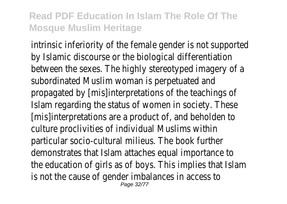intrinsic inferiority of the female gender is not supported by Islamic discourse or the biological differentiation between the sexes. The highly stereotyped imagery of a subordinated Muslim woman is perpetuated and propagated by [mis]interpretations of the teachings of Islam regarding the status of women in society. These [mis]interpretations are a product of, and beholden to culture proclivities of individual Muslims within particular socio-cultural milieus. The book further demonstrates that Islam attaches equal importance to the education of girls as of boys. This implies that Islam is not the cause of gender imbalances in access to Page 32/77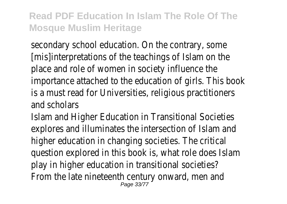secondary school education. On the contrary, some [mis]interpretations of the teachings of Islam on the place and role of women in society influence the importance attached to the education of girls. This book is a must read for Universities, religious practitioners and scholars

Islam and Higher Education in Transitional Societies explores and illuminates the intersection of Islam and higher education in changing societies. The critical question explored in this book is, what role does Islam play in higher education in transitional societies? From the late nineteenth century onward, men and Page 33/77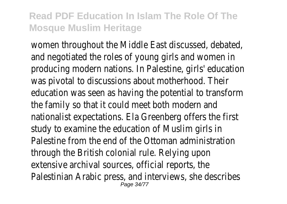women throughout the Middle East discussed, debated, and negotiated the roles of young girls and women in producing modern nations. In Palestine, girls' education was pivotal to discussions about motherhood. Their education was seen as having the potential to transform the family so that it could meet both modern and nationalist expectations. Ela Greenberg offers the first study to examine the education of Muslim girls in Palestine from the end of the Ottoman administration through the British colonial rule. Relying upon extensive archival sources, official reports, the Palestinian Arabic press, and interviews, she describes Page 34/77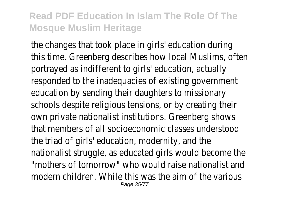the changes that took place in girls' education during this time. Greenberg describes how local Muslims, often portrayed as indifferent to girls' education, actually responded to the inadequacies of existing government education by sending their daughters to missionary schools despite religious tensions, or by creating their own private nationalist institutions. Greenberg shows that members of all socioeconomic classes understood the triad of girls' education, modernity, and the nationalist struggle, as educated girls would become the "mothers of tomorrow" who would raise nationalist and modern children. While this was the aim of the various Page 35/77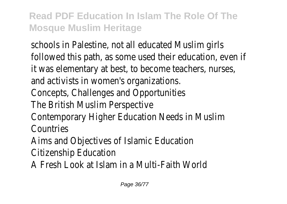schools in Palestine, not all educated Muslim girls followed this path, as some used their education, even if it was elementary at best, to become teachers, nurses, and activists in women's organizations. Concepts, Challenges and Opportunities The British Muslim Perspective Contemporary Higher Education Needs in Muslim **Countries** Aims and Objectives of Islamic Education Citizenship Education A Fresh Look at Islam in a Multi-Faith World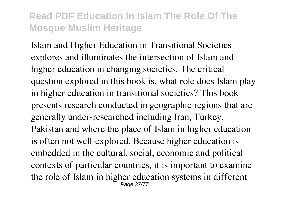Islam and Higher Education in Transitional Societies explores and illuminates the intersection of Islam and higher education in changing societies. The critical question explored in this book is, what role does Islam play in higher education in transitional societies? This book presents research conducted in geographic regions that are generally under-researched including Iran, Turkey, Pakistan and where the place of Islam in higher education is often not well-explored. Because higher education is embedded in the cultural, social, economic and political contexts of particular countries, it is important to examine the role of Islam in higher education systems in different Page 37/77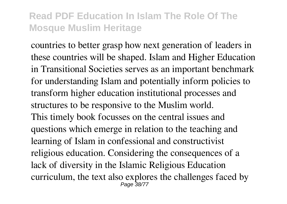countries to better grasp how next generation of leaders in these countries will be shaped. Islam and Higher Education in Transitional Societies serves as an important benchmark for understanding Islam and potentially inform policies to transform higher education institutional processes and structures to be responsive to the Muslim world. This timely book focusses on the central issues and questions which emerge in relation to the teaching and learning of Islam in confessional and constructivist religious education. Considering the consequences of a lack of diversity in the Islamic Religious Education curriculum, the text also explores the challenges faced by Page 38/77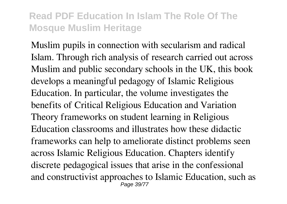Muslim pupils in connection with secularism and radical Islam. Through rich analysis of research carried out across Muslim and public secondary schools in the UK, this book develops a meaningful pedagogy of Islamic Religious Education. In particular, the volume investigates the benefits of Critical Religious Education and Variation Theory frameworks on student learning in Religious Education classrooms and illustrates how these didactic frameworks can help to ameliorate distinct problems seen across Islamic Religious Education. Chapters identify discrete pedagogical issues that arise in the confessional and constructivist approaches to Islamic Education, such as Page 39/77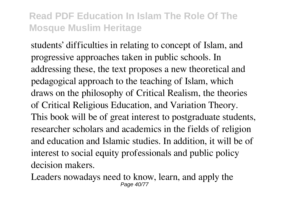students' difficulties in relating to concept of Islam, and progressive approaches taken in public schools. In addressing these, the text proposes a new theoretical and pedagogical approach to the teaching of Islam, which draws on the philosophy of Critical Realism, the theories of Critical Religious Education, and Variation Theory. This book will be of great interest to postgraduate students, researcher scholars and academics in the fields of religion and education and Islamic studies. In addition, it will be of interest to social equity professionals and public policy decision makers.

Leaders nowadays need to know, learn, and apply the Page 40/77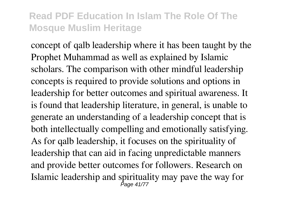concept of qalb leadership where it has been taught by the Prophet Muhammad as well as explained by Islamic scholars. The comparison with other mindful leadership concepts is required to provide solutions and options in leadership for better outcomes and spiritual awareness. It is found that leadership literature, in general, is unable to generate an understanding of a leadership concept that is both intellectually compelling and emotionally satisfying. As for qalb leadership, it focuses on the spirituality of leadership that can aid in facing unpredictable manners and provide better outcomes for followers. Research on Islamic leadership and spirituality may pave the way for Page 41/77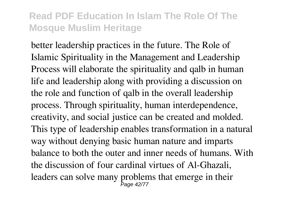better leadership practices in the future. The Role of Islamic Spirituality in the Management and Leadership Process will elaborate the spirituality and qalb in human life and leadership along with providing a discussion on the role and function of qalb in the overall leadership process. Through spirituality, human interdependence, creativity, and social justice can be created and molded. This type of leadership enables transformation in a natural way without denying basic human nature and imparts balance to both the outer and inner needs of humans. With the discussion of four cardinal virtues of Al-Ghazali, leaders can solve many problems that emerge in their Page 42/77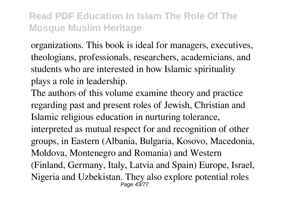organizations. This book is ideal for managers, executives, theologians, professionals, researchers, academicians, and students who are interested in how Islamic spirituality plays a role in leadership.

The authors of this volume examine theory and practice regarding past and present roles of Jewish, Christian and Islamic religious education in nurturing tolerance, interpreted as mutual respect for and recognition of other groups, in Eastern (Albania, Bulgaria, Kosovo, Macedonia, Moldova, Montenegro and Romania) and Western (Finland, Germany, Italy, Latvia and Spain) Europe, Israel, Nigeria and Uzbekistan. They also explore potential roles Page 43/77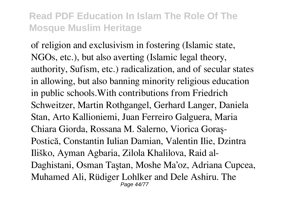of religion and exclusivism in fostering (Islamic state, NGOs, etc.), but also averting (Islamic legal theory, authority, Sufism, etc.) radicalization, and of secular states in allowing, but also banning minority religious education in public schools.With contributions from Friedrich Schweitzer, Martin Rothgangel, Gerhard Langer, Daniela Stan, Arto Kallioniemi, Juan Ferreiro Galguera, Maria Chiara Giorda, Rossana M. Salerno, Viorica Goraş-Postică, Constantin Iulian Damian, Valentin Ilie, Dzintra Iliško, Ayman Agbaria, Zilola Khalilova, Raid al-Daghistani, Osman Taştan, Moshe Ma'oz, Adriana Cupcea, Muhamed Ali, Rüdiger Lohlker and Dele Ashiru. The Page 44/77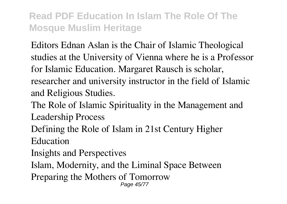Editors Ednan Aslan is the Chair of Islamic Theological studies at the University of Vienna where he is a Professor for Islamic Education. Margaret Rausch is scholar, researcher and university instructor in the field of Islamic and Religious Studies.

The Role of Islamic Spirituality in the Management and Leadership Process

Defining the Role of Islam in 21st Century Higher

Education

Insights and Perspectives

Islam, Modernity, and the Liminal Space Between

Preparing the Mothers of Tomorrow Page 45/77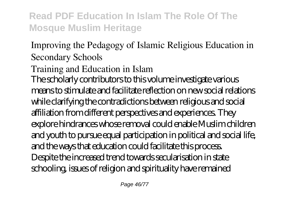# Improving the Pedagogy of Islamic Religious Education in Secondary Schools

# Training and Education in Islam

The scholarly contributors to this volume investigate various means to stimulate and facilitate reflection on new social relations while clarifying the contradictions between religious and social affiliation from different perspectives and experiences. They explore hindrances whose removal could enable Muslim children and youth to pursue equal participation in political and social life, and the ways that education could facilitate this process. Despite the increased trend towards secularisation in state schooling, issues of religion and spirituality have remained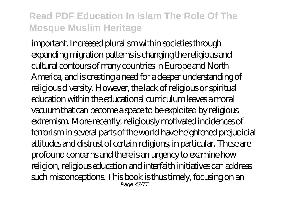important. Increased pluralism within societies through expanding migration patterns is changing the religious and cultural contours of many countries in Europe and North America, and is creating a need for a deeper understanding of religious diversity. However, the lack of religious or spiritual education within the educational curriculum leaves a moral vacuum that can become a space to be exploited by religious extremism. More recently, religiously motivated incidences of terrorism in several parts of the world have heightened prejudicial attitudes and distrust of certain religions, in particular. These are profound concerns and there is an urgency to examine how religion, religious education and interfaith initiatives can address such misconceptions. This book is thus timely, focusing on an Page 47/77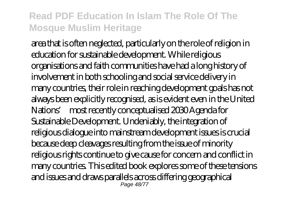area that is often neglected, particularly on the role of religion in education for sustainable development. While religious organisations and faith communities have had a long history of involvement in both schooling and social service delivery in many countries, their role in reaching development goals has not always been explicitly recognised, as is evident even in the United Nations' most recently conceptualised 2030 Agenda for Sustainable Development. Undeniably, the integration of religious dialogue into mainstream development issues is crucial because deep cleavages resulting from the issue of minority religious rights continue to give cause for concern and conflict in many countries. This edited book explores some of these tensions and issues and draws parallels across differing geographical Page 48/77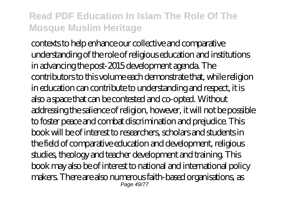contexts to help enhance our collective and comparative understanding of the role of religious education and institutions in advancing the post-2015 development agenda. The contributors to this volume each demonstrate that, while religion in education can contribute to understanding and respect, it is also a space that can be contested and co-opted. Without addressing the salience of religion, however, it will not be possible to foster peace and combat discrimination and prejudice. This book will be of interest to researchers, scholars and students in the field of comparative education and development, religious studies, theology and teacher development and training. This book may also be of interest to national and international policy makers. There are also numerous faith-based organisations, as Page 49/77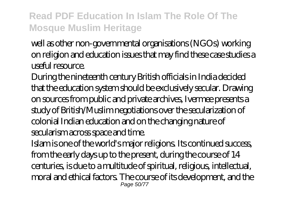well as other non-governmental organisations (NGOs) working on religion and education issues that may find these case studies a useful resource.

During the nineteenth century British officials in India decided that the education system should be exclusively secular. Drawing on sources from public and private archives, Ivermee presents a study of British/Muslim negotiations over the secularization of colonial Indian education and on the changing nature of secularism across space and time.

Islam is one of the world's major religions. Its continued success, from the early days up to the present, during the course of 14 centuries, is due to a multitude of spiritual, religious, intellectual, moral and ethical factors. The course of its development, and the Page 50/77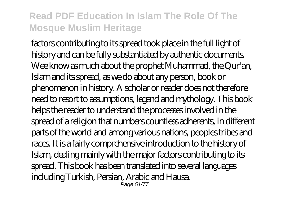factors contributing to its spread took place in the full light of history and can be fully substantiated by authentic documents. Wee know as much about the prophet Muhammad, the Qur'an, Islam and its spread, as we do about any person, book or phenomenon in history. A scholar or reader does not therefore need to resort to assumptions, legend and mythology. This book helps the reader to understand the processes involved in the spread of a religion that numbers countless adherents, in different parts of the world and among various nations, peoples tribes and races. It is a fairly comprehensive introduction to the history of Islam, dealing mainly with the major factors contributing to its spread. This book has been translated into several languages including Turkish, Persian, Arabic and Hausa. Page 51/77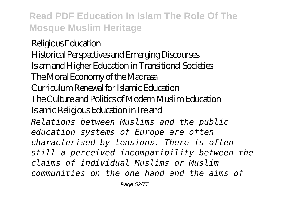Religious Education Historical Perspectives and Emerging Discourses Islam and Higher Education in Transitional Societies The Moral Economy of the Madrasa Curriculum Renewal for Islamic Education The Culture and Politics of Modern Muslim Education Islamic Religious Education in Ireland *Relations between Muslims and the public education systems of Europe are often characterised by tensions. There is often still a perceived incompatibility between the claims of individual Muslims or Muslim communities on the one hand and the aims of*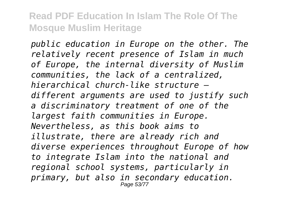*public education in Europe on the other. The relatively recent presence of Islam in much of Europe, the internal diversity of Muslim communities, the lack of a centralized, hierarchical church-like structure – different arguments are used to justify such a discriminatory treatment of one of the largest faith communities in Europe. Nevertheless, as this book aims to illustrate, there are already rich and diverse experiences throughout Europe of how to integrate Islam into the national and regional school systems, particularly in primary, but also in secondary education.* Page 53/77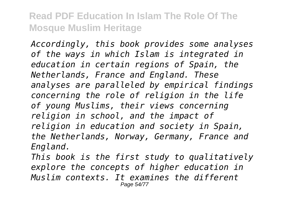*Accordingly, this book provides some analyses of the ways in which Islam is integrated in education in certain regions of Spain, the Netherlands, France and England. These analyses are paralleled by empirical findings concerning the role of religion in the life of young Muslims, their views concerning religion in school, and the impact of religion in education and society in Spain, the Netherlands, Norway, Germany, France and England.*

*This book is the first study to qualitatively explore the concepts of higher education in Muslim contexts. It examines the different* Page 54/77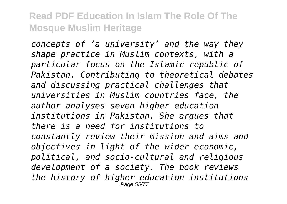*concepts of 'a university' and the way they shape practice in Muslim contexts, with a particular focus on the Islamic republic of Pakistan. Contributing to theoretical debates and discussing practical challenges that universities in Muslim countries face, the author analyses seven higher education institutions in Pakistan. She argues that there is a need for institutions to constantly review their mission and aims and objectives in light of the wider economic, political, and socio-cultural and religious development of a society. The book reviews the history of higher education institutions* Page 55/77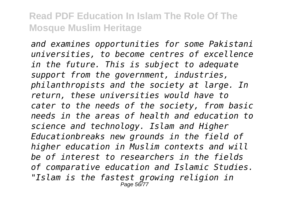*and examines opportunities for some Pakistani universities, to become centres of excellence in the future. This is subject to adequate support from the government, industries, philanthropists and the society at large. In return, these universities would have to cater to the needs of the society, from basic needs in the areas of health and education to science and technology. Islam and Higher Educationbreaks new grounds in the field of higher education in Muslim contexts and will be of interest to researchers in the fields of comparative education and Islamic Studies. "Islam is the fastest growing religion in* Page 56/77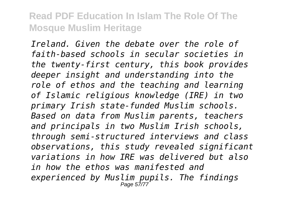*Ireland. Given the debate over the role of faith-based schools in secular societies in the twenty-first century, this book provides deeper insight and understanding into the role of ethos and the teaching and learning of Islamic religious knowledge (IRE) in two primary Irish state-funded Muslim schools. Based on data from Muslim parents, teachers and principals in two Muslim Irish schools, through semi-structured interviews and class observations, this study revealed significant variations in how IRE was delivered but also in how the ethos was manifested and experienced by Muslim pupils. The findings* Page 57/77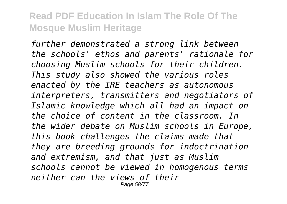*further demonstrated a strong link between the schools' ethos and parents' rationale for choosing Muslim schools for their children. This study also showed the various roles enacted by the IRE teachers as autonomous interpreters, transmitters and negotiators of Islamic knowledge which all had an impact on the choice of content in the classroom. In the wider debate on Muslim schools in Europe, this book challenges the claims made that they are breeding grounds for indoctrination and extremism, and that just as Muslim schools cannot be viewed in homogenous terms neither can the views of their* Page 58/77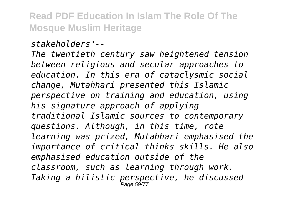*stakeholders"--*

*The twentieth century saw heightened tension between religious and secular approaches to education. In this era of cataclysmic social change, Mutahhari presented this Islamic perspective on training and education, using his signature approach of applying traditional Islamic sources to contemporary questions. Although, in this time, rote learning was prized, Mutahhari emphasised the importance of critical thinks skills. He also emphasised education outside of the classroom, such as learning through work. Taking a hilistic perspective, he discussed* Page 59/77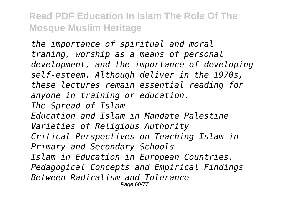*the importance of spiritual and moral traning, worship as a means of personal development, and the importance of developing self-esteem. Although deliver in the 1970s, these lectures remain essential reading for anyone in training or education. The Spread of Islam Education and Islam in Mandate Palestine Varieties of Religious Authority Critical Perspectives on Teaching Islam in Primary and Secondary Schools Islam in Education in European Countries. Pedagogical Concepts and Empirical Findings Between Radicalism and Tolerance* Page 60/77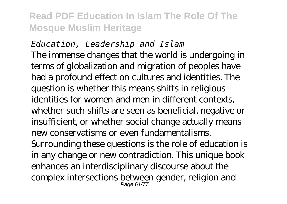*Education, Leadership and Islam* The immense changes that the world is undergoing in terms of globalization and migration of peoples have had a profound effect on cultures and identities. The question is whether this means shifts in religious identities for women and men in different contexts, whether such shifts are seen as beneficial, negative or insufficient, or whether social change actually means new conservatisms or even fundamentalisms. Surrounding these questions is the role of education is in any change or new contradiction. This unique book enhances an interdisciplinary discourse about the complex intersections between gender, religion and Page 61/77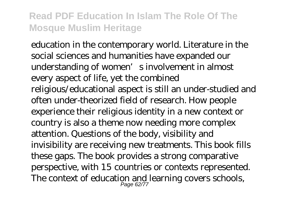education in the contemporary world. Literature in the social sciences and humanities have expanded our understanding of women's involvement in almost every aspect of life, yet the combined religious/educational aspect is still an under-studied and often under-theorized field of research. How people experience their religious identity in a new context or country is also a theme now needing more complex attention. Questions of the body, visibility and invisibility are receiving new treatments. This book fills these gaps. The book provides a strong comparative perspective, with 15 countries or contexts represented. The context of education and learning covers schools,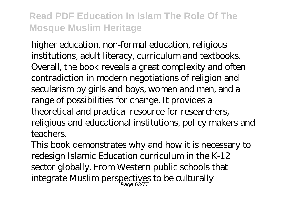higher education, non-formal education, religious institutions, adult literacy, curriculum and textbooks. Overall, the book reveals a great complexity and often contradiction in modern negotiations of religion and secularism by girls and boys, women and men, and a range of possibilities for change. It provides a theoretical and practical resource for researchers, religious and educational institutions, policy makers and teachers.

This book demonstrates why and how it is necessary to redesign Islamic Education curriculum in the K-12 sector globally. From Western public schools that integrate Muslim perspectives to be culturally Page 63/77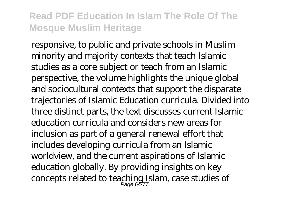responsive, to public and private schools in Muslim minority and majority contexts that teach Islamic studies as a core subject or teach from an Islamic perspective, the volume highlights the unique global and sociocultural contexts that support the disparate trajectories of Islamic Education curricula. Divided into three distinct parts, the text discusses current Islamic education curricula and considers new areas for inclusion as part of a general renewal effort that includes developing curricula from an Islamic worldview, and the current aspirations of Islamic education globally. By providing insights on key concepts related to teaching Islam, case studies of Page 64/77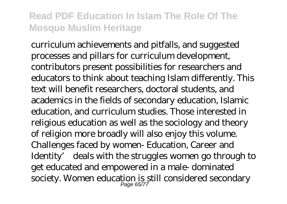curriculum achievements and pitfalls, and suggested processes and pillars for curriculum development, contributors present possibilities for researchers and educators to think about teaching Islam differently. This text will benefit researchers, doctoral students, and academics in the fields of secondary education, Islamic education, and curriculum studies. Those interested in religious education as well as the sociology and theory of religion more broadly will also enjoy this volume. Challenges faced by women- Education, Career and Identity' deals with the struggles women go through to get educated and empowered in a male- dominated society. Women education is still considered secondary Page 65/77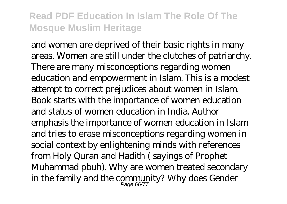and women are deprived of their basic rights in many areas. Women are still under the clutches of patriarchy. There are many misconceptions regarding women education and empowerment in Islam. This is a modest attempt to correct prejudices about women in Islam. Book starts with the importance of women education and status of women education in India. Author emphasis the importance of women education in Islam and tries to erase misconceptions regarding women in social context by enlightening minds with references from Holy Quran and Hadith ( sayings of Prophet Muhammad pbuh). Why are women treated secondary in the family and the community? Why does Gender Page 66/77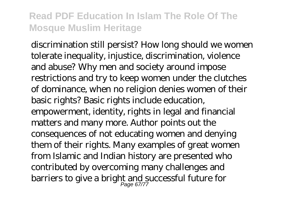discrimination still persist? How long should we women tolerate inequality, injustice, discrimination, violence and abuse? Why men and society around impose restrictions and try to keep women under the clutches of dominance, when no religion denies women of their basic rights? Basic rights include education, empowerment, identity, rights in legal and financial matters and many more. Author points out the consequences of not educating women and denying them of their rights. Many examples of great women from Islamic and Indian history are presented who contributed by overcoming many challenges and barriers to give a bright and successful future for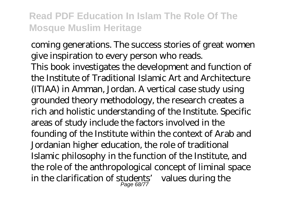coming generations. The success stories of great women give inspiration to every person who reads. This book investigates the development and function of the Institute of Traditional Islamic Art and Architecture (ITIAA) in Amman, Jordan. A vertical case study using grounded theory methodology, the research creates a rich and holistic understanding of the Institute. Specific areas of study include the factors involved in the founding of the Institute within the context of Arab and Jordanian higher education, the role of traditional Islamic philosophy in the function of the Institute, and the role of the anthropological concept of liminal space in the clarification of students' values during the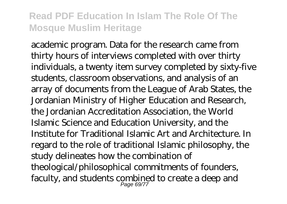academic program. Data for the research came from thirty hours of interviews completed with over thirty individuals, a twenty item survey completed by sixty-five students, classroom observations, and analysis of an array of documents from the League of Arab States, the Jordanian Ministry of Higher Education and Research, the Jordanian Accreditation Association, the World Islamic Science and Education University, and the Institute for Traditional Islamic Art and Architecture. In regard to the role of traditional Islamic philosophy, the study delineates how the combination of theological/philosophical commitments of founders, faculty, and students combined to create a deep and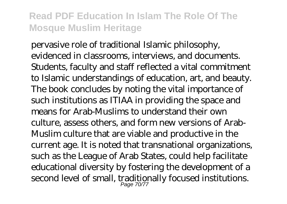pervasive role of traditional Islamic philosophy, evidenced in classrooms, interviews, and documents. Students, faculty and staff reflected a vital commitment to Islamic understandings of education, art, and beauty. The book concludes by noting the vital importance of such institutions as ITIAA in providing the space and means for Arab-Muslims to understand their own culture, assess others, and form new versions of Arab-Muslim culture that are viable and productive in the current age. It is noted that transnational organizations, such as the League of Arab States, could help facilitate educational diversity by fostering the development of a second level of small, traditionally focused institutions.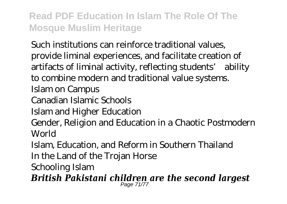Such institutions can reinforce traditional values, provide liminal experiences, and facilitate creation of artifacts of liminal activity, reflecting students' ability to combine modern and traditional value systems. Islam on Campus Canadian Islamic Schools Islam and Higher Education Gender, Religion and Education in a Chaotic Postmodern World Islam, Education, and Reform in Southern Thailand

In the Land of the Trojan Horse

Schooling Islam

*British Pakistani children are the second largest* Page 71/77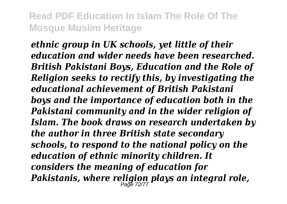*ethnic group in UK schools, yet little of their education and wider needs have been researched. British Pakistani Boys, Education and the Role of Religion seeks to rectify this, by investigating the educational achievement of British Pakistani boys and the importance of education both in the Pakistani community and in the wider religion of Islam. The book draws on research undertaken by the author in three British state secondary schools, to respond to the national policy on the education of ethnic minority children. It considers the meaning of education for Pakistanis, where religion plays an integral role,* Page 72/77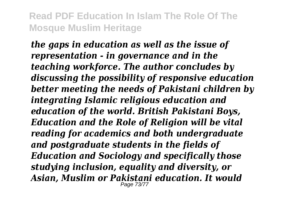*the gaps in education as well as the issue of representation - in governance and in the teaching workforce. The author concludes by discussing the possibility of responsive education better meeting the needs of Pakistani children by integrating Islamic religious education and education of the world. British Pakistani Boys, Education and the Role of Religion will be vital reading for academics and both undergraduate and postgraduate students in the fields of Education and Sociology and specifically those studying inclusion, equality and diversity, or Asian, Muslim or Pakistani education. It would* Page 73/77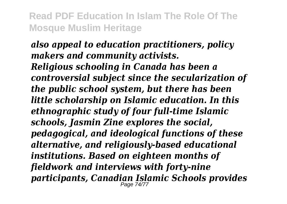## *also appeal to education practitioners, policy makers and community activists. Religious schooling in Canada has been a controversial subject since the secularization of the public school system, but there has been little scholarship on Islamic education. In this ethnographic study of four full-time Islamic schools, Jasmin Zine explores the social, pedagogical, and ideological functions of these alternative, and religiously-based educational institutions. Based on eighteen months of fieldwork and interviews with forty-nine participants, Canadian Islamic Schools provides* Page 74/77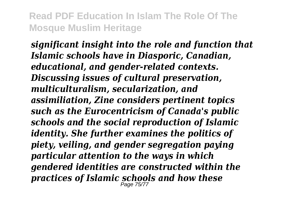*significant insight into the role and function that Islamic schools have in Diasporic, Canadian, educational, and gender-related contexts. Discussing issues of cultural preservation, multiculturalism, secularization, and assimiliation, Zine considers pertinent topics such as the Eurocentricism of Canada's public schools and the social reproduction of Islamic identity. She further examines the politics of piety, veiling, and gender segregation paying particular attention to the ways in which gendered identities are constructed within the practices of Islamic schools and how these* Page 75/77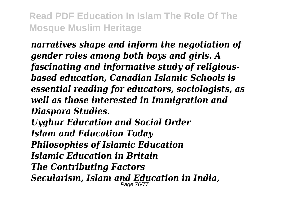*narratives shape and inform the negotiation of gender roles among both boys and girls. A fascinating and informative study of religiousbased education, Canadian Islamic Schools is essential reading for educators, sociologists, as well as those interested in Immigration and Diaspora Studies. Uyghur Education and Social Order Islam and Education Today Philosophies of Islamic Education Islamic Education in Britain The Contributing Factors Secularism, Islam and Education in India,* Page 76/77